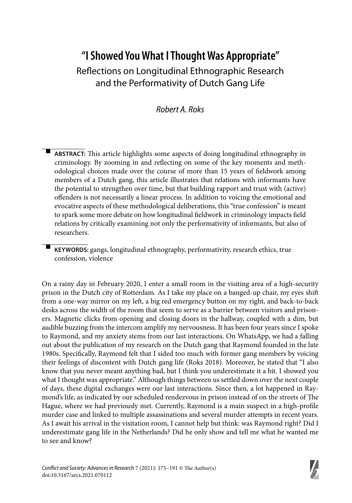# **"I Showed You What I Thought Was Appropriate"** Reflections on Longitudinal Ethnographic Research and the Performativity of Dutch Gang Life

## Robert A. Roks

-ABSTRACT: This article highlights some aspects of doing longitudinal ethnography in criminology. By zooming in and reflecting on some of the key moments and methodological choices made over the course of more than 15 years of fieldwork among members of a Dutch gang, this article illustrates that relations with informants have the potential to strengthen over time, but that building rapport and trust with (active) offenders is not necessarily a linear process. In addition to voicing the emotional and evocative aspects of these methodological deliberations, this "true confession" is meant to spark some more debate on how longitudinal fieldwork in criminology impacts field relations by critically examining not only the performativity of informants, but also of researchers.

 **KEYWORDS:** gangs, longitudinal ethnography, performativity, research ethics, true confession, violence

On a rainy day in February 2020, I enter a small room in the visiting area of a high-security prison in the Dutch city of Rotterdam. As I take my place on a banged-up chair, my eyes shift from a one-way mirror on my left, a big red emergency button on my right, and back-to-back desks across the width of the room that seem to serve as a barrier between visitors and prisoners. Magnetic clicks from opening and closing doors in the hallway, coupled with a dim, but audible buzzing from the intercom amplify my nervousness. It has been four years since I spoke to Raymond, and my anxiety stems from our last interactions. On WhatsApp, we had a falling out about the publication of my research on the Dutch gang that Raymond founded in the late 1980s. Specifically, Raymond felt that I sided too much with former gang members by voicing their feelings of discontent with Dutch gang life (Roks 2018). Moreover, he stated that "I also know that you never meant anything bad, but I think you underestimate it a bit. I showed you what I thought was appropriate." Although things between us settled down over the next couple of days, these digital exchanges were our last interactions. Since then, a lot happened in Raymond's life, as indicated by our scheduled rendezvous in prison instead of on the streets of The Hague, where we had previously met. Currently, Raymond is a main suspect in a high-profile murder case and linked to multiple assassinations and several murder attempts in recent years. As I await his arrival in the visitation room, I cannot help but think: was Raymond right? Did I underestimate gang life in the Netherlands? Did he only show and tell me what he wanted me to see and know?

-

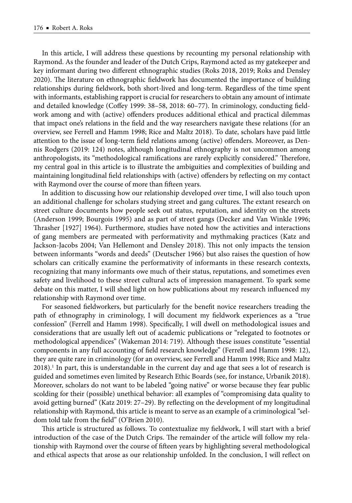In this article, I will address these questions by recounting my personal relationship with Raymond. As the founder and leader of the Dutch Crips, Raymond acted as my gatekeeper and key informant during two different ethnographic studies (Roks 2018, 2019; Roks and Densley 2020). The literature on ethnographic fieldwork has documented the importance of building relationships during fieldwork, both short-lived and long-term. Regardless of the time spent with informants, establishing rapport is crucial for researchers to obtain any amount of intimate and detailed knowledge (Coffey 1999: 38-58, 2018: 60-77). In criminology, conducting fieldwork among and with (active) offenders produces additional ethical and practical dilemmas that impact one's relations in the field and the way researchers navigate these relations (for an overview, see Ferrell and Hamm 1998; Rice and Maltz 2018). To date, scholars have paid little attention to the issue of long-term field relations among (active) offenders. Moreover, as Dennis Rodgers (2019: 124) notes, although longitudinal ethnography is not uncommon among anthropologists, its "methodological ramifications are rarely explicitly considered." Therefore, my central goal in this article is to illustrate the ambiguities and complexities of building and maintaining longitudinal field relationships with (active) offenders by reflecting on my contact with Raymond over the course of more than fifteen years.

In addition to discussing how our relationship developed over time, I will also touch upon an additional challenge for scholars studying street and gang cultures. The extant research on street culture documents how people seek out status, reputation, and identity on the streets (Anderson 1999; Bourgois 1995) and as part of street gangs (Decker and Van Winkle 1996; Th rasher [1927] 1964). Furthermore, studies have noted how the activities and interactions of gang members are permeated with performativity and mythmaking practices (Katz and Jackson-Jacobs 2004; Van Hellemont and Densley 2018). This not only impacts the tension between informants "words and deeds" (Deutscher 1966) but also raises the question of how scholars can critically examine the performativity of informants in these research contexts, recognizing that many informants owe much of their status, reputations, and sometimes even safety and livelihood to these street cultural acts of impression management. To spark some debate on this matter, I will shed light on how publications about my research influenced my relationship with Raymond over time.

For seasoned fieldworkers, but particularly for the benefit novice researchers treading the path of ethnography in criminology, I will document my fieldwork experiences as a "true confession" (Ferrell and Hamm 1998). Specifically, I will dwell on methodological issues and considerations that are usually left out of academic publications or "relegated to footnotes or methodological appendices" (Wakeman 2014: 719). Although these issues constitute "essential components in any full accounting of field research knowledge" (Ferrell and Hamm 1998: 12), they are quite rare in criminology (for an overview, see Ferrell and Hamm 1998; Rice and Maltz  $2018$ ).<sup>1</sup> In part, this is understandable in the current day and age that sees a lot of research is guided and sometimes even limited by Research Ethic Boards (see, for instance, Urbanik 2018). Moreover, scholars do not want to be labeled "going native" or worse because they fear public scolding for their (possible) unethical behavior: all examples of "compromising data quality to avoid getting burned" (Katz 2019: 27-29). By reflecting on the development of my longitudinal relationship with Raymond, this article is meant to serve as an example of a criminological "seldom told tale from the field" (O'Brien 2010).

This article is structured as follows. To contextualize my fieldwork, I will start with a brief introduction of the case of the Dutch Crips. The remainder of the article will follow my relationship with Raymond over the course of fifteen years by highlighting several methodological and ethical aspects that arose as our relationship unfolded. In the conclusion, I will reflect on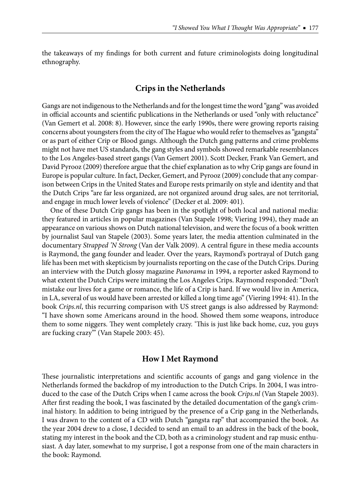the takeaways of my findings for both current and future criminologists doing longitudinal ethnography.

#### **Crips in the Netherlands**

Gangs are not indigenous to the Netherlands and for the longest time the word "gang" was avoided in official accounts and scientific publications in the Netherlands or used "only with reluctance" (Van Gemert et al. 2008: 8). However, since the early 1990s, there were growing reports raising concerns about youngsters from the city of The Hague who would refer to themselves as "gangsta" or as part of either Crip or Blood gangs. Although the Dutch gang patterns and crime problems might not have met US standards, the gang styles and symbols showed remarkable resemblances to the Los Angeles-based street gangs (Van Gemert 2001). Scott Decker, Frank Van Gemert, and David Pyrooz (2009) therefore argue that the chief explanation as to why Crip gangs are found in Europe is popular culture. In fact, Decker, Gemert, and Pyrooz (2009) conclude that any comparison between Crips in the United States and Europe rests primarily on style and identity and that the Dutch Crips "are far less organized, are not organized around drug sales, are not territorial, and engage in much lower levels of violence" (Decker et al. 2009: 401).

One of these Dutch Crip gangs has been in the spotlight of both local and national media: they featured in articles in popular magazines (Van Stapele 1998; Viering 1994), they made an appearance on various shows on Dutch national television, and were the focus of a book written by journalist Saul van Stapele (2003). Some years later, the media attention culminated in the documentary *Strapped 'N Strong* (Van der Valk 2009). A central figure in these media accounts is Raymond, the gang founder and leader. Over the years, Raymond's portrayal of Dutch gang life has been met with skepticism by journalists reporting on the case of the Dutch Crips. During an interview with the Dutch glossy magazine *Panorama* in 1994, a reporter asked Raymond to what extent the Dutch Crips were imitating the Los Angeles Crips. Raymond responded: "Don't mistake our lives for a game or romance, the life of a Crip is hard. If we would live in America, in LA, several of us would have been arrested or killed a long time ago" (Viering 1994: 41). In the book *Crips.nl*, this recurring comparison with US street gangs is also addressed by Raymond: "I have shown some Americans around in the hood. Showed them some weapons, introduce them to some niggers. They went completely crazy. 'This is just like back home, cuz, you guys are fucking crazy'" (Van Stapele 2003: 45).

#### **How I Met Raymond**

These journalistic interpretations and scientific accounts of gangs and gang violence in the Netherlands formed the backdrop of my introduction to the Dutch Crips. In 2004, I was introduced to the case of the Dutch Crips when I came across the book *Crips.nl* (Van Stapele 2003). After first reading the book, I was fascinated by the detailed documentation of the gang's criminal history. In addition to being intrigued by the presence of a Crip gang in the Netherlands, I was drawn to the content of a CD with Dutch "gangsta rap" that accompanied the book. As the year 2004 drew to a close, I decided to send an email to an address in the back of the book, stating my interest in the book and the CD, both as a criminology student and rap music enthusiast. A day later, somewhat to my surprise, I got a response from one of the main characters in the book: Raymond.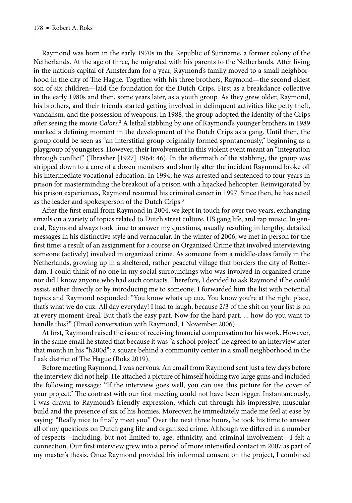Raymond was born in the early 1970s in the Republic of Suriname, a former colony of the Netherlands. At the age of three, he migrated with his parents to the Netherlands. After living in the nation's capital of Amsterdam for a year, Raymond's family moved to a small neighborhood in the city of The Hague. Together with his three brothers, Raymond—the second eldest son of six children—laid the foundation for the Dutch Crips. First as a breakdance collective in the early 1980s and then, some years later, as a youth group. As they grew older, Raymond, his brothers, and their friends started getting involved in delinquent activities like petty theft, vandalism, and the possession of weapons. In 1988, the group adopted the identity of the Crips after seeing the movie *Colors*.<sup>2</sup> A lethal stabbing by one of Raymond's younger brothers in 1989 marked a defining moment in the development of the Dutch Crips as a gang. Until then, the group could be seen as "an interstitial group originally formed spontaneously," beginning as a playgroup of youngsters. However, their involvement in this violent event meant an "integration through conflict" (Thrasher [1927] 1964: 46). In the aftermath of the stabbing, the group was stripped down to a core of a dozen members and shortly after the incident Raymond broke off his intermediate vocational education. In 1994, he was arrested and sentenced to four years in prison for masterminding the breakout of a prison with a hijacked helicopter. Reinvigorated by his prison experiences, Raymond resumed his criminal career in 1997. Since then, he has acted as the leader and spokesperson of the Dutch Crips.3

After the first email from Raymond in 2004, we kept in touch for over two years, exchanging emails on a variety of topics related to Dutch street culture, US gang life, and rap music. In general, Raymond always took time to answer my questions, usually resulting in lengthy, detailed messages in his distinctive style and vernacular. In the winter of 2006, we met in person for the first time; a result of an assignment for a course on Organized Crime that involved interviewing someone (actively) involved in organized crime. As someone from a middle-class family in the Netherlands, growing up in a sheltered, rather peaceful village that borders the city of Rotterdam, I could think of no one in my social surroundings who was involved in organized crime nor did I know anyone who had such contacts. Therefore, I decided to ask Raymond if he could assist, either directly or by introducing me to someone. I forwarded him the list with potential topics and Raymond responded: "You know whats up cuz. You know you're at the right place, that's what we do cuz. All day everyday! I had to laugh, because 2/3 of the shit on your list is on at every moment 4real. But that's the easy part. Now for the hard part. . . how do you want to handle this?" (Email conversation with Raymond, 1 November 2006)

At first, Raymond raised the issue of receiving financial compensation for his work. However, in the same email he stated that because it was "a school project" he agreed to an interview later that month in his "h200d": a square behind a community center in a small neighborhood in the Laak district of The Hague (Roks 2019).

Before meeting Raymond, I was nervous. An email from Raymond sent just a few days before the interview did not help. He attached a picture of himself holding two large guns and included the following message: "If the interview goes well, you can use this picture for the cover of your project." The contrast with our first meeting could not have been bigger. Instantaneously, I was drawn to Raymond's friendly expression, which cut through his impressive, muscular build and the presence of six of his homies. Moreover, he immediately made me feel at ease by saying: "Really nice to finally meet you." Over the next three hours, he took his time to answer all of my questions on Dutch gang life and organized crime. Although we differed in a number of respects—including, but not limited to, age, ethnicity, and criminal involvement—I felt a connection. Our first interview grew into a period of more intensified contact in 2007 as part of my master's thesis. Once Raymond provided his informed consent on the project, I combined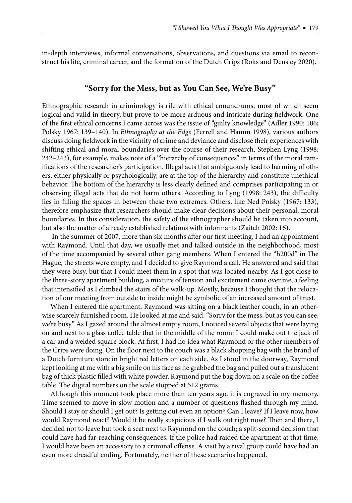in-depth interviews, informal conversations, observations, and questions via email to reconstruct his life, criminal career, and the formation of the Dutch Crips (Roks and Densley 2020).

### **"Sorry for the Mess, but as You Can See, We're Busy"**

Ethnographic research in criminology is rife with ethical conundrums, most of which seem logical and valid in theory, but prove to be more arduous and intricate during fieldwork. One of the first ethical concerns I came across was the issue of "guilty knowledge" (Adler 1990: 106; Polsky 1967: 139–140). In *Ethnography at the Edge* (Ferrell and Hamm 1998), various authors discuss doing fieldwork in the vicinity of crime and deviance and disclose their experiences with shifting ethical and moral boundaries over the course of their research. Stephen Lyng (1998: 242–243), for example, makes note of a "hierarchy of consequences" in terms of the moral ramifications of the researcher's participation. Illegal acts that ambiguously lead to harming of others, either physically or psychologically, are at the top of the hierarchy and constitute unethical behavior. The bottom of the hierarchy is less clearly defined and comprises participating in or observing illegal acts that do not harm others. According to Lyng (1998: 243), the difficulty lies in filling the spaces in between these two extremes. Others, like Ned Polsky (1967: 133), therefore emphasize that researchers should make clear decisions about their personal, moral boundaries. In this consideration, the safety of the ethnographer should be taken into account, but also the matter of already established relations with informants (Zaitch 2002: 16).

In the summer of 2007, more than six months after our first meeting, I had an appointment with Raymond. Until that day, we usually met and talked outside in the neighborhood, most of the time accompanied by several other gang members. When I entered the "h200d" in The Hague, the streets were empty, and I decided to give Raymond a call. He answered and said that they were busy, but that I could meet them in a spot that was located nearby. As I got close to the three-story apartment building, a mixture of tension and excitement came over me, a feeling that intensified as I climbed the stairs of the walk-up. Mostly, because I thought that the relocation of our meeting from outside to inside might be symbolic of an increased amount of trust.

When I entered the apartment, Raymond was sitting on a black leather couch, in an otherwise scarcely furnished room. He looked at me and said: "Sorry for the mess, but as you can see, we're busy." As I gazed around the almost empty room, I noticed several objects that were laying on and next to a glass coffee table that in the middle of the room: I could make out the jack of a car and a welded square block. At first, I had no idea what Raymond or the other members of the Crips were doing. On the floor next to the couch was a black shopping bag with the brand of a Dutch furniture store in bright red letters on each side. As I stood in the doorway, Raymond kept looking at me with a big smile on his face as he grabbed the bag and pulled out a translucent bag of thick plastic filled with white powder. Raymond put the bag down on a scale on the coffee table. The digital numbers on the scale stopped at 512 grams.

Although this moment took place more than ten years ago, it is engraved in my memory. Time seemed to move in slow motion and a number of questions flashed through my mind. Should I stay or should I get out? Is getting out even an option? Can I leave? If I leave now, how would Raymond react? Would it be really suspicious if I walk out right now? Then and there, I decided not to leave but took a seat next to Raymond on the couch; a split-second decision that could have had far-reaching consequences. If the police had raided the apartment at that time, I would have been an accessory to a criminal offense. A visit by a rival group could have had an even more dreadful ending. Fortunately, neither of these scenarios happened.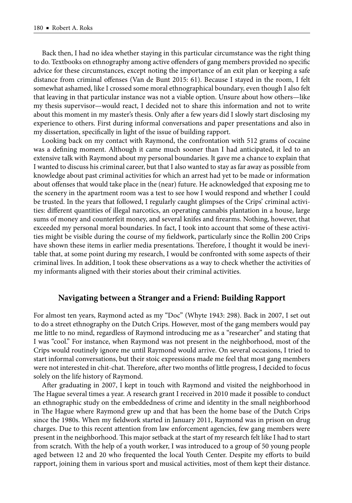Back then, I had no idea whether staying in this particular circumstance was the right thing to do. Textbooks on ethnography among active offenders of gang members provided no specific advice for these circumstances, except noting the importance of an exit plan or keeping a safe distance from criminal offenses (Van de Bunt 2015: 61). Because I stayed in the room, I felt somewhat ashamed, like I crossed some moral ethnographical boundary, even though I also felt that leaving in that particular instance was not a viable option. Unsure about how others—like my thesis supervisor—would react, I decided not to share this information and not to write about this moment in my master's thesis. Only after a few years did I slowly start disclosing my experience to others. First during informal conversations and paper presentations and also in my dissertation, specifically in light of the issue of building rapport.

Looking back on my contact with Raymond, the confrontation with 512 grams of cocaine was a defining moment. Although it came much sooner than I had anticipated, it led to an extensive talk with Raymond about my personal boundaries. It gave me a chance to explain that I wanted to discuss his criminal career, but that I also wanted to stay as far away as possible from knowledge about past criminal activities for which an arrest had yet to be made or information about offenses that would take place in the (near) future. He acknowledged that exposing me to the scenery in the apartment room was a test to see how I would respond and whether I could be trusted. In the years that followed, I regularly caught glimpses of the Crips' criminal activities: different quantities of illegal narcotics, an operating cannabis plantation in a house, large sums of money and counterfeit money, and several knifes and firearms. Nothing, however, that exceeded my personal moral boundaries. In fact, I took into account that some of these activities might be visible during the course of my fieldwork, particularly since the Rollin 200 Crips have shown these items in earlier media presentations. Therefore, I thought it would be inevitable that, at some point during my research, I would be confronted with some aspects of their criminal lives. In addition, I took these observations as a way to check whether the activities of my informants aligned with their stories about their criminal activities.

#### **Navigating between a Stranger and a Friend: Building Rapport**

For almost ten years, Raymond acted as my "Doc" (Whyte 1943: 298). Back in 2007, I set out to do a street ethnography on the Dutch Crips. However, most of the gang members would pay me little to no mind, regardless of Raymond introducing me as a "researcher" and stating that I was "cool." For instance, when Raymond was not present in the neighborhood, most of the Crips would routinely ignore me until Raymond would arrive. On several occasions, I tried to start informal conversations, but their stoic expressions made me feel that most gang members were not interested in chit-chat. Therefore, after two months of little progress, I decided to focus solely on the life history of Raymond.

After graduating in 2007, I kept in touch with Raymond and visited the neighborhood in The Hague several times a year. A research grant I received in 2010 made it possible to conduct an ethnographic study on the embeddedness of crime and identity in the small neighborhood in The Hague where Raymond grew up and that has been the home base of the Dutch Crips since the 1980s. When my fieldwork started in January 2011, Raymond was in prison on drug charges. Due to this recent attention from law enforcement agencies, few gang members were present in the neighborhood. This major setback at the start of my research felt like I had to start from scratch. With the help of a youth worker, I was introduced to a group of 50 young people aged between 12 and 20 who frequented the local Youth Center. Despite my efforts to build rapport, joining them in various sport and musical activities, most of them kept their distance.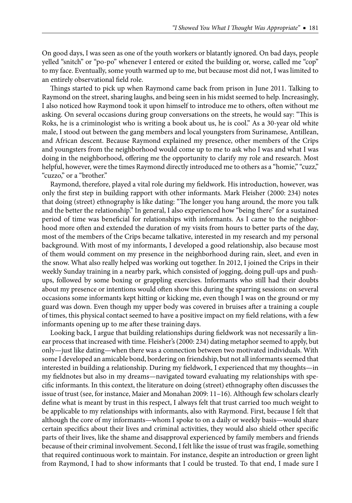On good days, I was seen as one of the youth workers or blatantly ignored. On bad days, people yelled "snitch" or "po-po" whenever I entered or exited the building or, worse, called me "cop" to my face. Eventually, some youth warmed up to me, but because most did not, I was limited to an entirely observational field role.

Things started to pick up when Raymond came back from prison in June 2011. Talking to Raymond on the street, sharing laughs, and being seen in his midst seemed to help. Increasingly, I also noticed how Raymond took it upon himself to introduce me to others, often without me asking. On several occasions during group conversations on the streets, he would say: "This is Roks, he is a criminologist who is writing a book about us, he is cool." As a 30-year old white male, I stood out between the gang members and local youngsters from Surinamese, Antillean, and African descent. Because Raymond explained my presence, other members of the Crips and youngsters from the neighborhood would come up to me to ask who I was and what I was doing in the neighborhood, offering me the opportunity to clarify my role and research. Most helpful, however, were the times Raymond directly introduced me to others as a "homie," "cuzz," "cuzzo," or a "brother."

Raymond, therefore, played a vital role during my fieldwork. His introduction, however, was only the first step in building rapport with other informants. Mark Fleisher (2000: 234) notes that doing (street) ethnography is like dating: "The longer you hang around, the more you talk and the better the relationship." In general, I also experienced how "being there" for a sustained period of time was beneficial for relationships with informants. As I came to the neighborhood more often and extended the duration of my visits from hours to better parts of the day, most of the members of the Crips became talkative, interested in my research and my personal background. With most of my informants, I developed a good relationship, also because most of them would comment on my presence in the neighborhood during rain, sleet, and even in the snow. What also really helped was working out together. In 2012, I joined the Crips in their weekly Sunday training in a nearby park, which consisted of jogging, doing pull-ups and pushups, followed by some boxing or grappling exercises. Informants who still had their doubts about my presence or intentions would often show this during the sparring sessions: on several occasions some informants kept hitting or kicking me, even though I was on the ground or my guard was down. Even though my upper body was covered in bruises after a training a couple of times, this physical contact seemed to have a positive impact on my field relations, with a few informants opening up to me after these training days.

Looking back, I argue that building relationships during fieldwork was not necessarily a linear process that increased with time. Fleisher's (2000: 234) dating metaphor seemed to apply, but only—just like dating—when there was a connection between two motivated individuals. With some I developed an amicable bond, bordering on friendship, but not all informants seemed that interested in building a relationship. During my fieldwork, I experienced that my thoughts—in my fieldnotes but also in my dreams—navigated toward evaluating my relationships with specific informants. In this context, the literature on doing (street) ethnography often discusses the issue of trust (see, for instance, Maier and Monahan 2009: 11–16). Although few scholars clearly define what is meant by trust in this respect, I always felt that trust carried too much weight to be applicable to my relationships with informants, also with Raymond. First, because I felt that although the core of my informants—whom I spoke to on a daily or weekly basis—would share certain specifics about their lives and criminal activities, they would also shield other specific parts of their lives, like the shame and disapproval experienced by family members and friends because of their criminal involvement. Second, I felt like the issue of trust was fragile, something that required continuous work to maintain. For instance, despite an introduction or green light from Raymond, I had to show informants that I could be trusted. To that end, I made sure I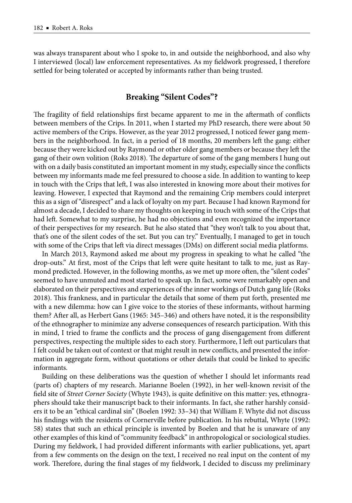was always transparent about who I spoke to, in and outside the neighborhood, and also why I interviewed (local) law enforcement representatives. As my fieldwork progressed, I therefore settled for being tolerated or accepted by informants rather than being trusted.

### **Breaking "Silent Codes"?**

The fragility of field relationships first became apparent to me in the aftermath of conflicts between members of the Crips. In 2011, when I started my PhD research, there were about 50 active members of the Crips. However, as the year 2012 progressed, I noticed fewer gang members in the neighborhood. In fact, in a period of 18 months, 20 members left the gang: either because they were kicked out by Raymond or other older gang members or because they left the gang of their own volition (Roks 2018). The departure of some of the gang members I hung out with on a daily basis constituted an important moment in my study, especially since the conflicts between my informants made me feel pressured to choose a side. In addition to wanting to keep in touch with the Crips that left, I was also interested in knowing more about their motives for leaving. However, I expected that Raymond and the remaining Crip members could interpret this as a sign of "disrespect" and a lack of loyalty on my part. Because I had known Raymond for almost a decade, I decided to share my thoughts on keeping in touch with some of the Crips that had left. Somewhat to my surprise, he had no objections and even recognized the importance of their perspectives for my research. But he also stated that "they won't talk to you about that, that's one of the silent codes of the set. But you can try." Eventually, I managed to get in touch with some of the Crips that left via direct messages (DMs) on different social media platforms.

In March 2013, Raymond asked me about my progress in speaking to what he called "the drop-outs." At first, most of the Crips that left were quite hesitant to talk to me, just as Raymond predicted. However, in the following months, as we met up more often, the "silent codes" seemed to have unmuted and most started to speak up. In fact, some were remarkably open and elaborated on their perspectives and experiences of the inner workings of Dutch gang life (Roks 2018). This frankness, and in particular the details that some of them put forth, presented me with a new dilemma: how can I give voice to the stories of these informants, without harming them? After all, as Herbert Gans (1965: 345–346) and others have noted, it is the responsibility of the ethnographer to minimize any adverse consequences of research participation. With this in mind, I tried to frame the conflicts and the process of gang disengagement from different perspectives, respecting the multiple sides to each story. Furthermore, I left out particulars that I felt could be taken out of context or that might result in new conflicts, and presented the information in aggregate form, without quotations or other details that could be linked to specific informants.

Building on these deliberations was the question of whether I should let informants read (parts of) chapters of my research. Marianne Boelen (1992), in her well-known revisit of the field site of *Street Corner Society* (Whyte 1943), is quite definitive on this matter: yes, ethnographers should take their manuscript back to their informants. In fact, she rather harshly considers it to be an "ethical cardinal sin" (Boelen 1992: 33–34) that William F. Whyte did not discuss his findings with the residents of Cornerville before publication. In his rebuttal, Whyte (1992: 58) states that such an ethical principle is invented by Boelen and that he is unaware of any other examples of this kind of "community feedback" in anthropological or sociological studies. During my fieldwork, I had provided different informants with earlier publications, yet, apart from a few comments on the design on the text, I received no real input on the content of my work. Therefore, during the final stages of my fieldwork, I decided to discuss my preliminary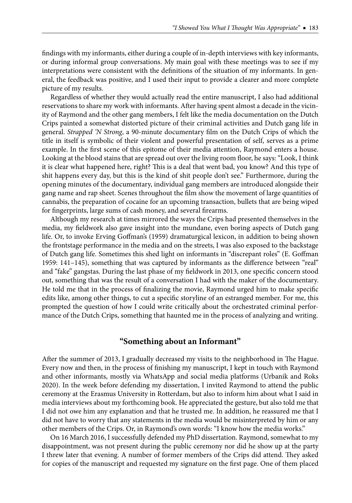findings with my informants, either during a couple of in-depth interviews with key informants, or during informal group conversations. My main goal with these meetings was to see if my interpretations were consistent with the definitions of the situation of my informants. In general, the feedback was positive, and I used their input to provide a clearer and more complete picture of my results.

Regardless of whether they would actually read the entire manuscript, I also had additional reservations to share my work with informants. After having spent almost a decade in the vicinity of Raymond and the other gang members, I felt like the media documentation on the Dutch Crips painted a somewhat distorted picture of their criminal activities and Dutch gang life in general. *Strapped* 'N *Strong*, a 90-minute documentary film on the Dutch Crips of which the title in itself is symbolic of their violent and powerful presentation of self, serves as a prime example. In the first scene of this epitome of their media attention, Raymond enters a house. Looking at the blood stains that are spread out over the living room floor, he says: "Look, I think it is clear what happened here, right? This is a deal that went bad, you know? And this type of shit happens every day, but this is the kind of shit people don't see." Furthermore, during the opening minutes of the documentary, individual gang members are introduced alongside their gang name and rap sheet. Scenes throughout the film show the movement of large quantities of cannabis, the preparation of cocaine for an upcoming transaction, bullets that are being wiped for fingerprints, large sums of cash money, and several firearms.

Although my research at times mirrored the ways the Crips had presented themselves in the media, my fieldwork also gave insight into the mundane, even boring aspects of Dutch gang life. Or, to invoke Erving Goffman's (1959) dramaturgical lexicon, in addition to being shown the frontstage performance in the media and on the streets, I was also exposed to the backstage of Dutch gang life. Sometimes this shed light on informants in "discrepant roles" (E. Goffman 1959:  $141-145$ ), something that was captured by informants as the difference between "real" and "fake" gangstas. During the last phase of my fieldwork in 2013, one specific concern stood out, something that was the result of a conversation I had with the maker of the documentary. He told me that in the process of finalizing the movie, Raymond urged him to make specific edits like, among other things, to cut a specific storyline of an estranged member. For me, this prompted the question of how I could write critically about the orchestrated criminal performance of the Dutch Crips, something that haunted me in the process of analyzing and writing.

#### **"Something about an Informant"**

After the summer of 2013, I gradually decreased my visits to the neighborhood in The Hague. Every now and then, in the process of finishing my manuscript, I kept in touch with Raymond and other informants, mostly via WhatsApp and social media platforms (Urbanik and Roks 2020). In the week before defending my dissertation, I invited Raymond to attend the public ceremony at the Erasmus University in Rotterdam, but also to inform him about what I said in media interviews about my forthcoming book. He appreciated the gesture, but also told me that I did not owe him any explanation and that he trusted me. In addition, he reassured me that I did not have to worry that any statements in the media would be misinterpreted by him or any other members of the Crips. Or, in Raymond's own words: "I know how the media works."

On 16 March 2016, I successfully defended my PhD dissertation. Raymond, somewhat to my disappointment, was not present during the public ceremony nor did he show up at the party I threw later that evening. A number of former members of the Crips did attend. They asked for copies of the manuscript and requested my signature on the first page. One of them placed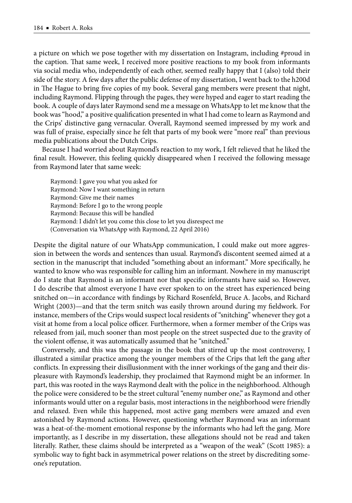a picture on which we pose together with my dissertation on Instagram, including #proud in the caption. That same week, I received more positive reactions to my book from informants via social media who, independently of each other, seemed really happy that I (also) told their side of the story. A few days after the public defense of my dissertation, I went back to the h200d in The Hague to bring five copies of my book. Several gang members were present that night, including Raymond. Flipping through the pages, they were hyped and eager to start reading the book. A couple of days later Raymond send me a message on WhatsApp to let me know that the book was "hood," a positive qualification presented in what I had come to learn as Raymond and the Crips' distinctive gang vernacular. Overall, Raymond seemed impressed by my work and was full of praise, especially since he felt that parts of my book were "more real" than previous media publications about the Dutch Crips.

Because I had worried about Raymond's reaction to my work, I felt relieved that he liked the final result. However, this feeling quickly disappeared when I received the following message from Raymond later that same week:

Raymond: I gave you what you asked for Raymond: Now I want something in return Raymond: Give me their names Raymond: Before I go to the wrong people Raymond: Because this will be handled Raymond: I didn't let you come this close to let you disrespect me (Conversation via WhatsApp with Raymond, 22 April 2016)

Despite the digital nature of our WhatsApp communication, I could make out more aggression in between the words and sentences than usual. Raymond's discontent seemed aimed at a section in the manuscript that included "something about an informant." More specifically, he wanted to know who was responsible for calling him an informant. Nowhere in my manuscript do I state that Raymond is an informant nor that specific informants have said so. However, I do describe that almost everyone I have ever spoken to on the street has experienced being snitched on—in accordance with findings by Richard Rosenfeld, Bruce A. Jacobs, and Richard Wright (2003)—and that the term snitch was easily thrown around during my fieldwork. For instance, members of the Crips would suspect local residents of "snitching" whenever they got a visit at home from a local police officer. Furthermore, when a former member of the Crips was released from jail, much sooner than most people on the street suspected due to the gravity of the violent offense, it was automatically assumed that he "snitched."

Conversely, and this was the passage in the book that stirred up the most controversy, I illustrated a similar practice among the younger members of the Crips that left the gang after conflicts. In expressing their disillusionment with the inner workings of the gang and their displeasure with Raymond's leadership, they proclaimed that Raymond might be an informer. In part, this was rooted in the ways Raymond dealt with the police in the neighborhood. Although the police were considered to be the street cultural "enemy number one," as Raymond and other informants would utter on a regular basis, most interactions in the neighborhood were friendly and relaxed. Even while this happened, most active gang members were amazed and even astonished by Raymond actions. However, questioning whether Raymond was an informant was a heat-of-the-moment emotional response by the informants who had left the gang. More importantly, as I describe in my dissertation, these allegations should not be read and taken literally. Rather, these claims should be interpreted as a "weapon of the weak" (Scott 1985): a symbolic way to fight back in asymmetrical power relations on the street by discrediting someone's reputation.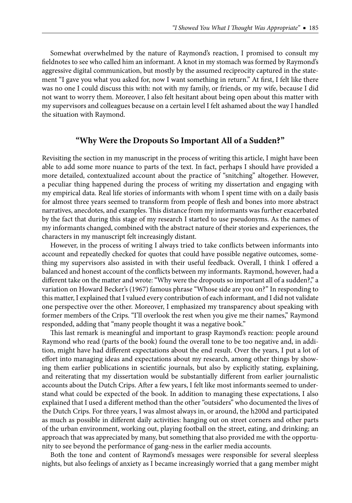Somewhat overwhelmed by the nature of Raymond's reaction, I promised to consult my fieldnotes to see who called him an informant. A knot in my stomach was formed by Raymond's aggressive digital communication, but mostly by the assumed reciprocity captured in the statement "I gave you what you asked for, now I want something in return." At first, I felt like there was no one I could discuss this with: not with my family, or friends, or my wife, because I did not want to worry them. Moreover, I also felt hesitant about being open about this matter with my supervisors and colleagues because on a certain level I felt ashamed about the way I handled the situation with Raymond.

#### **"Why Were the Dropouts So Important All of a Sudden?"**

Revisiting the section in my manuscript in the process of writing this article, I might have been able to add some more nuance to parts of the text. In fact, perhaps I should have provided a more detailed, contextualized account about the practice of "snitching" altogether. However, a peculiar thing happened during the process of writing my dissertation and engaging with my empirical data. Real life stories of informants with whom I spent time with on a daily basis for almost three years seemed to transform from people of flesh and bones into more abstract narratives, anecdotes, and examples. This distance from my informants was further exacerbated by the fact that during this stage of my research I started to use pseudonyms. As the names of my informants changed, combined with the abstract nature of their stories and experiences, the characters in my manuscript felt increasingly distant.

However, in the process of writing I always tried to take conflicts between informants into account and repeatedly checked for quotes that could have possible negative outcomes, something my supervisors also assisted in with their useful feedback. Overall, I think I offered a balanced and honest account of the conflicts between my informants. Raymond, however, had a different take on the matter and wrote: "Why were the dropouts so important all of a sudden?," a variation on Howard Becker's (1967) famous phrase "Whose side are you on?" In responding to this matter, I explained that I valued every contribution of each informant, and I did not validate one perspective over the other. Moreover, I emphasized my transparency about speaking with former members of the Crips. "I'll overlook the rest when you give me their names," Raymond responded, adding that "many people thought it was a negative book."

This last remark is meaningful and important to grasp Raymond's reaction: people around Raymond who read (parts of the book) found the overall tone to be too negative and, in addition, might have had different expectations about the end result. Over the years, I put a lot of effort into managing ideas and expectations about my research, among other things by showing them earlier publications in scientific journals, but also by explicitly stating, explaining, and reiterating that my dissertation would be substantially different from earlier journalistic accounts about the Dutch Crips. After a few years, I felt like most informants seemed to understand what could be expected of the book. In addition to managing these expectations, I also explained that I used a different method than the other "outsiders" who documented the lives of the Dutch Crips. For three years, I was almost always in, or around, the h200d and participated as much as possible in different daily activities: hanging out on street corners and other parts of the urban environment, working out, playing football on the street, eating, and drinking; an approach that was appreciated by many, but something that also provided me with the opportunity to see beyond the performance of gang-ness in the earlier media accounts.

Both the tone and content of Raymond's messages were responsible for several sleepless nights, but also feelings of anxiety as I became increasingly worried that a gang member might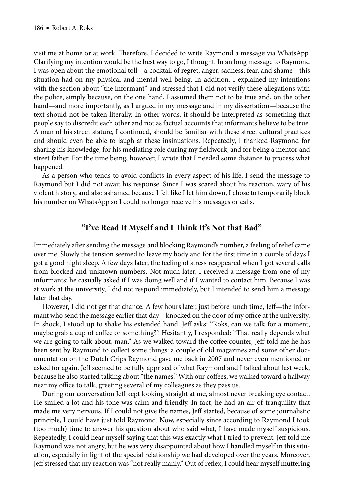visit me at home or at work. Therefore, I decided to write Raymond a message via WhatsApp. Clarifying my intention would be the best way to go, I thought. In an long message to Raymond I was open about the emotional toll—a cocktail of regret, anger, sadness, fear, and shame—this situation had on my physical and mental well-being. In addition, I explained my intentions with the section about "the informant" and stressed that I did not verify these allegations with the police, simply because, on the one hand, I assumed them not to be true and, on the other hand—and more importantly, as I argued in my message and in my dissertation—because the text should not be taken literally. In other words, it should be interpreted as something that people say to discredit each other and not as factual accounts that informants believe to be true. A man of his street stature, I continued, should be familiar with these street cultural practices and should even be able to laugh at these insinuations. Repeatedly, I thanked Raymond for sharing his knowledge, for his mediating role during my fieldwork, and for being a mentor and street father. For the time being, however, I wrote that I needed some distance to process what happened.

As a person who tends to avoid conflicts in every aspect of his life, I send the message to Raymond but I did not await his response. Since I was scared about his reaction, wary of his violent history, and also ashamed because I felt like I let him down, I chose to temporarily block his number on WhatsApp so I could no longer receive his messages or calls.

#### "I've Read It Myself and I Think It's Not that Bad"

Immediately after sending the message and blocking Raymond's number, a feeling of relief came over me. Slowly the tension seemed to leave my body and for the first time in a couple of days I got a good night sleep. A few days later, the feeling of stress reappeared when I got several calls from blocked and unknown numbers. Not much later, I received a message from one of my informants: he casually asked if I was doing well and if I wanted to contact him. Because I was at work at the university, I did not respond immediately, but I intended to send him a message later that day.

However, I did not get that chance. A few hours later, just before lunch time, Jeff—the informant who send the message earlier that day—knocked on the door of my office at the university. In shock, I stood up to shake his extended hand. Jeff asks: "Roks, can we talk for a moment, maybe grab a cup of coffee or something?" Hesitantly, I responded: "That really depends what we are going to talk about, man." As we walked toward the coffee counter, Jeff told me he has been sent by Raymond to collect some things: a couple of old magazines and some other documentation on the Dutch Crips Raymond gave me back in 2007 and never even mentioned or asked for again. Jeff seemed to be fully apprised of what Raymond and I talked about last week, because he also started talking about "the names." With our coffees, we walked toward a hallway near my office to talk, greeting several of my colleagues as they pass us.

During our conversation Jeff kept looking straight at me, almost never breaking eye contact. He smiled a lot and his tone was calm and friendly. In fact, he had an air of tranquility that made me very nervous. If I could not give the names, Jeff started, because of some journalistic principle, I could have just told Raymond. Now, especially since according to Raymond I took (too much) time to answer his question about who said what, I have made myself suspicious. Repeatedly, I could hear myself saying that this was exactly what I tried to prevent. Jeff told me Raymond was not angry, but he was very disappointed about how I handled myself in this situation, especially in light of the special relationship we had developed over the years. Moreover, Jeff stressed that my reaction was "not really manly." Out of reflex, I could hear myself muttering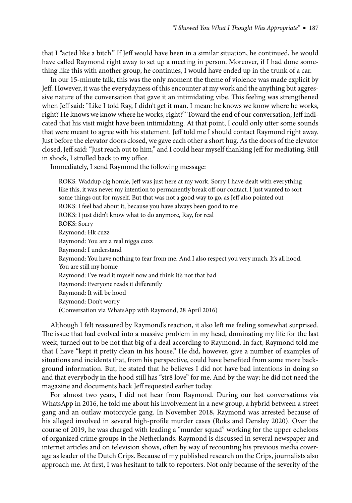that I "acted like a bitch." If Jeff would have been in a similar situation, he continued, he would have called Raymond right away to set up a meeting in person. Moreover, if I had done something like this with another group, he continues, I would have ended up in the trunk of a car.

In our 15-minute talk, this was the only moment the theme of violence was made explicit by Jeff . However, it was the everydayness of this encounter at my work and the anything but aggressive nature of the conversation that gave it an intimidating vibe. This feeling was strengthened when Jeff said: "Like I told Ray, I didn't get it man. I mean: he knows we know where he works, right? He knows we know where he works, right?" Toward the end of our conversation, Jeff indicated that his visit might have been intimidating. At that point, I could only utter some sounds that were meant to agree with his statement. Jeff told me I should contact Raymond right away. Just before the elevator doors closed, we gave each other a short hug. As the doors of the elevator closed, Jeff said: "Just reach out to him," and I could hear myself thanking Jeff for mediating. Still in shock, I strolled back to my office.

Immediately, I send Raymond the following message:

ROKS: Waddup cig homie, Jeff was just here at my work. Sorry I have dealt with everything like this, it was never my intention to permanently break off our contact. I just wanted to sort some things out for myself. But that was not a good way to go, as Jeff also pointed out ROKS: I feel bad about it, because you have always been good to me ROKS: I just didn't know what to do anymore, Ray, for real ROKS: Sorry Raymond: Hk cuzz Raymond: You are a real nigga cuzz Raymond: I understand Raymond: You have nothing to fear from me. And I also respect you very much. It's all hood. You are still my homie Raymond: I've read it myself now and think it's not that bad Raymond: Everyone reads it differently Raymond: It will be hood Raymond: Don't worry (Conversation via WhatsApp with Raymond, 28 April 2016)

Although I felt reassured by Raymond's reaction, it also left me feeling somewhat surprised. The issue that had evolved into a massive problem in my head, dominating my life for the last week, turned out to be not that big of a deal according to Raymond. In fact, Raymond told me that I have "kept it pretty clean in his house." He did, however, give a number of examples of situations and incidents that, from his perspective, could have benefited from some more background information. But, he stated that he believes I did not have bad intentions in doing so and that everybody in the hood still has "str8 love" for me. And by the way: he did not need the magazine and documents back Jeff requested earlier today.

For almost two years, I did not hear from Raymond. During our last conversations via WhatsApp in 2016, he told me about his involvement in a new group, a hybrid between a street gang and an outlaw motorcycle gang. In November 2018, Raymond was arrested because of his alleged involved in several high-profile murder cases (Roks and Densley 2020). Over the course of 2019, he was charged with leading a "murder squad" working for the upper echelons of organized crime groups in the Netherlands. Raymond is discussed in several newspaper and internet articles and on television shows, often by way of recounting his previous media coverage as leader of the Dutch Crips. Because of my published research on the Crips, journalists also approach me. At first, I was hesitant to talk to reporters. Not only because of the severity of the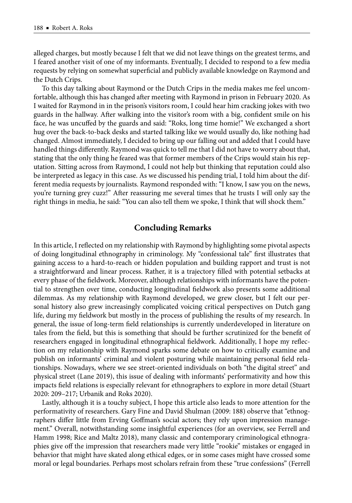alleged charges, but mostly because I felt that we did not leave things on the greatest terms, and I feared another visit of one of my informants. Eventually, I decided to respond to a few media requests by relying on somewhat superficial and publicly available knowledge on Raymond and the Dutch Crips.

To this day talking about Raymond or the Dutch Crips in the media makes me feel uncomfortable, although this has changed after meeting with Raymond in prison in February 2020. As I waited for Raymond in in the prison's visitors room, I could hear him cracking jokes with two guards in the hallway. After walking into the visitor's room with a big, confident smile on his face, he was uncuffed by the guards and said: "Roks, long time homie!" We exchanged a short hug over the back-to-back desks and started talking like we would usually do, like nothing had changed. Almost immediately, I decided to bring up our falling out and added that I could have handled things differently. Raymond was quick to tell me that I did not have to worry about that, stating that the only thing he feared was that former members of the Crips would stain his reputation. Sitting across from Raymond, I could not help but thinking that reputation could also be interpreted as legacy in this case. As we discussed his pending trial, I told him about the different media requests by journalists. Raymond responded with: "I know, I saw you on the news, you're turning grey cuzz!" After reassuring me several times that he trusts I will only say the right things in media, he said: "You can also tell them we spoke, I think that will shock them."

#### **Concluding Remarks**

In this article, I reflected on my relationship with Raymond by highlighting some pivotal aspects of doing longitudinal ethnography in criminology. My "confessional tale" first illustrates that gaining access to a hard-to-reach or hidden population and building rapport and trust is not a straightforward and linear process. Rather, it is a trajectory filled with potential setbacks at every phase of the fieldwork. Moreover, although relationships with informants have the potential to strengthen over time, conducting longitudinal fi eldwork also presents some additional dilemmas. As my relationship with Raymond developed, we grew closer, but I felt our personal history also grew increasingly complicated voicing critical perspectives on Dutch gang life, during my fieldwork but mostly in the process of publishing the results of my research. In general, the issue of long-term field relationships is currently underdeveloped in literature on tales from the field, but this is something that should be further scrutinized for the benefit of researchers engaged in longitudinal ethnographical fieldwork. Additionally, I hope my reflection on my relationship with Raymond sparks some debate on how to critically examine and publish on informants' criminal and violent posturing while maintaining personal field relationships. Nowadays, where we see street-oriented individuals on both "the digital street" and physical street (Lane 2019), this issue of dealing with informants' performativity and how this impacts field relations is especially relevant for ethnographers to explore in more detail (Stuart 2020: 209–217; Urbanik and Roks 2020).

Lastly, although it is a touchy subject, I hope this article also leads to more attention for the performativity of researchers. Gary Fine and David Shulman (2009: 188) observe that "ethnographers differ little from Erving Goffman's social actors; they rely upon impression management." Overall, notwithstanding some insightful experiences (for an overview, see Ferrell and Hamm 1998; Rice and Maltz 2018), many classic and contemporary criminological ethnographies give off the impression that researchers made very little "rookie" mistakes or engaged in behavior that might have skated along ethical edges, or in some cases might have crossed some moral or legal boundaries. Perhaps most scholars refrain from these "true confessions" (Ferrell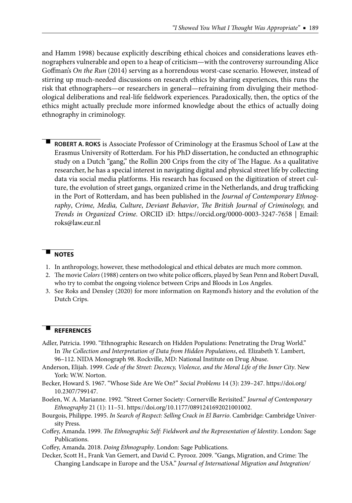and Hamm 1998) because explicitly describing ethical choices and considerations leaves ethnographers vulnerable and open to a heap of criticism—with the controversy surrounding Alice Goffman's *On the Run* (2014) serving as a horrendous worst-case scenario. However, instead of stirring up much-needed discussions on research ethics by sharing experiences, this runs the risk that ethnographers—or researchers in general—refraining from divulging their methodological deliberations and real-life fieldwork experiences. Paradoxically, then, the optics of the ethics might actually preclude more informed knowledge about the ethics of actually doing ethnography in criminology.

- **ROBERT A. ROKS** is Associate Professor of Criminology at the Erasmus School of Law at the Erasmus University of Rotterdam. For his PhD dissertation, he conducted an ethnographic study on a Dutch "gang," the Rollin 200 Crips from the city of The Hague. As a qualitative researcher, he has a special interest in navigating digital and physical street life by collecting data via social media platforms. His research has focused on the digitization of street culture, the evolution of street gangs, organized crime in the Netherlands, and drug trafficking in the Port of Rotterdam, and has been published in the *Journal of Contemporary Ethnog*raphy, Crime, Media, Culture, Deviant Behavior, *The British Journal of Criminology*, and *Trends in Organized Crime*. ORCID iD: https://orcid.org/0000-0003-3247-7658 | Email: roks@law.eur.nl

#### - **NOTES**

- 1. In anthropology, however, these methodological and ethical debates are much more common.
- 2. The movie *Colors* (1988) centers on two white police officers, played by Sean Penn and Robert Duvall, who try to combat the ongoing violence between Crips and Bloods in Los Angeles.
- 3. See Roks and Densley (2020) for more information on Raymond's history and the evolution of the Dutch Crips.

#### - **REFERENCES**

- Adler, Patricia. 1990. "Ethnographic Research on Hidden Populations: Penetrating the Drug World." In *The Collection and Interpretation of Data from Hidden Populations*, ed. Elizabeth Y. Lambert, 96–112. NIDA Monograph 98. Rockville, MD: National Institute on Drug Abuse.
- Anderson, Elijah. 1999. *Code of the Street: Decency, Violence, and the Moral Life of the Inner City*. New York: W.W. Norton.
- Becker, Howard S. 1967. "Whose Side Are We On?" *Social Problems* 14 (3): 239–247. https://doi.org/ 10.2307/799147.
- Boelen, W. A. Marianne. 1992. "Street Corner Society: Cornerville Revisited." *Journal of Contemporary Ethnography* 21 (1): 11–51. https://doi.org/10.1177/0891241692021001002.
- Bourgois, Philippe. 1995. *In Search of Respect: Selling Crack in El Barrio*. Cambridge: Cambridge University Press.
- Coffey, Amanda. 1999. *The Ethnographic Self: Fieldwork and the Representation of Identity*. London: Sage Publications.
- Coffey, Amanda. 2018. *Doing Ethnography*. London: Sage Publications.
- Decker, Scott H., Frank Van Gemert, and David C. Pyrooz. 2009. "Gangs, Migration, and Crime: The Changing Landscape in Europe and the USA." *Journal of International Migration and Integration/*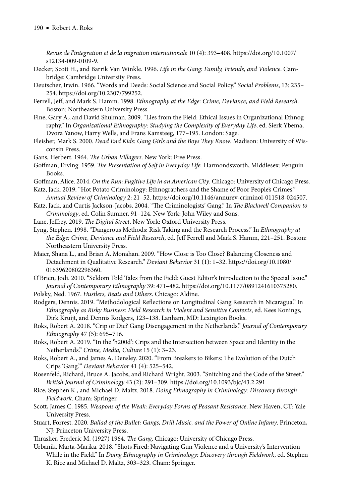*Revue de l'integration et de la migration internationale* 10 (4): 393–408. https://doi.org/10.1007/ s12134-009-0109-9.

- Decker, Scott H., and Barrik Van Winkle. 1996. *Life in the Gang: Family, Friends, and Violence*. Cambridge: Cambridge University Press.
- Deutscher, Irwin. 1966. "Words and Deeds: Social Science and Social Policy." *Social Problems*, 13: 235– 254. https://doi.org/10.2307/799252.
- Ferrell, Jeff, and Mark S. Hamm. 1998. *Ethnography at the Edge: Crime, Deviance, and Field Research.* Boston: Northeastern University Press.
- Fine, Gary A., and David Shulman. 2009. "Lies from the Field: Ethical Issues in Organizational Ethnography." In *Organizational Ethnography: Studying the Complexity of Everyday Life*, ed. Sierk Ybema, Dvora Yanow, Harry Wells, and Frans Kamsteeg, 177–195. London: Sage.
- Fleisher, Mark S. 2000. *Dead End Kids: Gang Girls and the Boys They Know*. Madison: University of Wisconsin Press.
- Gans, Herbert. 1964. *The Urban Villagers*. New York: Free Press.
- Goffman, Erving. 1959. *The Presentation of Self in Everyday Life*. Harmondsworth, Middlesex: Penguin Books.
- Goffman, Alice. 2014. On the Run: Fugitive Life in an American City. Chicago: University of Chicago Press.
- Katz, Jack. 2019. "Hot Potato Criminology: Ethnographers and the Shame of Poor People's Crimes." *Annual Review of Criminology* 2: 21–52. https://doi.org/10.1146/annurev-criminol-011518-024507.
- Katz, Jack, and Curtis Jackson-Jacobs. 2004. "The Criminologists' Gang." In *The Blackwell Companion to Criminology*, ed. Colin Sumner, 91–124. New York: John Wiley and Sons.
- Lane, Jeffrey. 2019. *The Digital Street*. New York: Oxford University Press.
- Lyng, Stephen. 1998. "Dangerous Methods: Risk Taking and the Research Process." In *Ethnography at the Edge: Crime, Deviance and Field Research*, ed. Jeff Ferrell and Mark S. Hamm, 221–251. Boston: Northeastern University Press.
- Maier, Shana L., and Brian A. Monahan. 2009. "How Close is Too Close? Balancing Closeness and Detachment in Qualitative Research." *Deviant Behavior* 31 (1): 1–32. https://doi.org/10.1080/ 01639620802296360.
- O'Brien, Jodi. 2010. "Seldom Told Tales from the Field: Guest Editor's Introduction to the Special Issue." *Journal of Contemporary Ethnography* 39: 471–482. https://doi.org/10.1177/0891241610375280.
- Polsky, Ned. 1967. *Hustlers, Beats and Others*. Chicago: Aldine.
- Rodgers, Dennis. 2019. "Methodological Reflections on Longitudinal Gang Research in Nicaragua." In *Ethnography as Risky Business: Field Research in Violent and Sensitive Contexts*, ed. Kees Konings, Dirk Kruijt, and Dennis Rodgers, 123–138. Lanham, MD: Lexington Books.

Roks, Robert A. 2018. "Crip or Die? Gang Disengagement in the Netherlands." *Journal of Contemporary Ethnography* 47 (5): 695–716.

- Roks, Robert A. 2019. "In the 'h200d': Crips and the Intersection between Space and Identity in the Netherlands." *Crime, Media, Culture* 15 (1): 3–23.
- Roks, Robert A., and James A. Densley. 2020. "From Breakers to Bikers: The Evolution of the Dutch Crips 'Gang.'" *Deviant Behavior* 41 (4): 525–542.
- Rosenfeld, Richard, Bruce A. Jacobs, and Richard Wright. 2003. "Snitching and the Code of the Street." *British Journal of Criminology* 43 (2): 291–309. https://doi.org/10.1093/bjc/43.2.291
- Rice, Stephen K., and Michael D. Maltz. 2018. *Doing Ethnography in Criminology: Discovery through Fieldwork*. Cham: Springer.
- Scott, James C. 1985. *Weapons of the Weak: Everyday Forms of Peasant Resistance*. New Haven, CT: Yale University Press.
- Stuart, Forrest. 2020. *Ballad of the Bullet: Gangs, Drill Music, and the Power of Online Infamy*. Princeton, NJ: Princeton University Press.
- Thrasher, Frederic M. (1927) 1964. *The Gang*. Chicago: University of Chicago Press.
- Urbanik, Marta-Marika. 2018. "Shots Fired: Navigating Gun Violence and a University's Intervention While in the Field." In *Doing Ethnography in Criminology: Discovery through Fieldwork*, ed. Stephen K. Rice and Michael D. Maltz, 303–323. Cham: Springer.